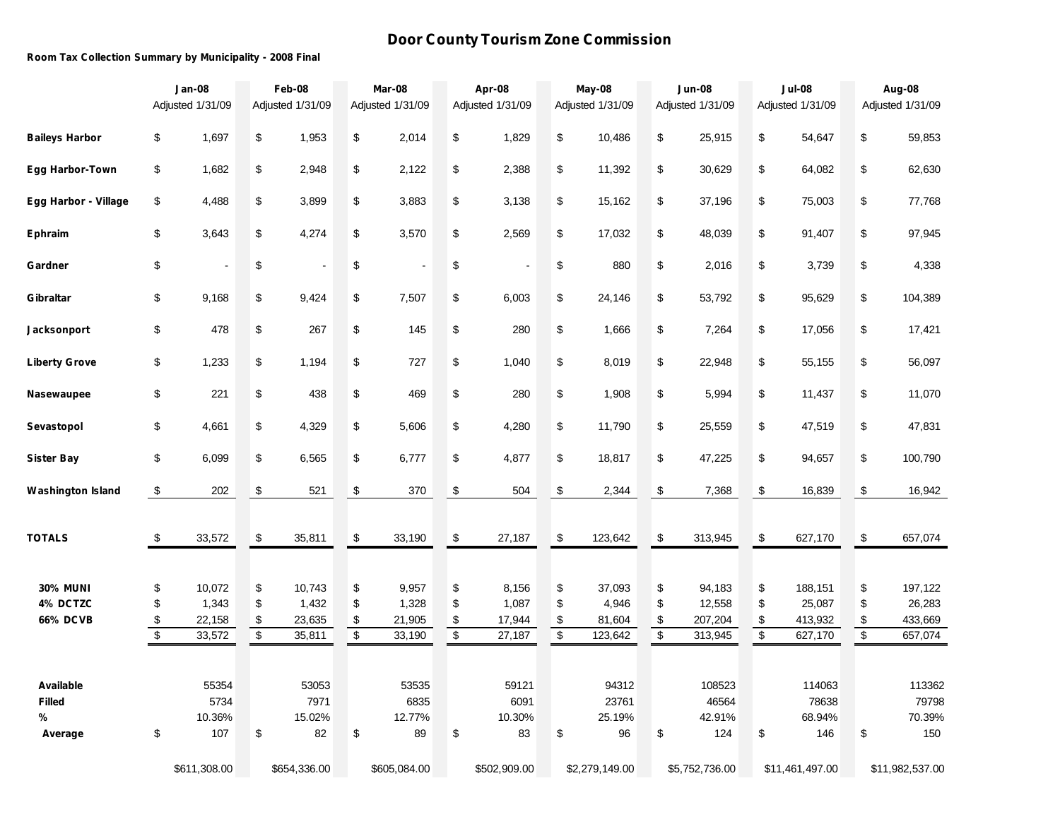## **Door County Tourism Zone Commission**

## **Room Tax Collection Summary by Municipality - 2008 Final**

|                          | <b>Jan-08</b><br>Adjusted 1/31/09 |                  | Feb-08<br>Adjusted 1/31/09    |                  | Mar-08<br>Adjusted 1/31/09    |                  |                                | Apr-08<br>Adjusted 1/31/09 |                                                   | May-08<br>Adjusted 1/31/09 |                               | <b>Jun-08</b><br>Adjusted 1/31/09 |                               | <b>Jul-08</b><br>Adjusted 1/31/09 | Aug-08<br>Adjusted 1/31/09 |                    |  |
|--------------------------|-----------------------------------|------------------|-------------------------------|------------------|-------------------------------|------------------|--------------------------------|----------------------------|---------------------------------------------------|----------------------------|-------------------------------|-----------------------------------|-------------------------------|-----------------------------------|----------------------------|--------------------|--|
| <b>Baileys Harbor</b>    | \$                                | 1,697            | \$                            | 1,953            | \$                            | 2,014            | \$                             | 1,829                      | \$                                                | 10,486                     | \$                            | 25,915                            | \$                            | 54,647                            | \$                         | 59,853             |  |
| <b>Egg Harbor-Town</b>   | \$                                | 1,682            | \$                            | 2,948            | \$                            | 2,122            | \$                             | 2,388                      | \$                                                | 11,392                     | \$                            | 30,629                            | \$                            | 64,082                            | \$                         | 62,630             |  |
| Egg Harbor - Village     | \$                                | 4,488            | \$                            | 3,899            | \$                            | 3,883            | \$                             | 3,138                      | $\,$                                              | 15,162                     | \$                            | 37,196                            | \$                            | 75,003                            | \$                         | 77,768             |  |
| <b>Ephraim</b>           | \$                                | 3,643            | \$                            | 4,274            | \$                            | 3,570            | \$                             | 2,569                      | \$                                                | 17,032                     | \$                            | 48,039                            | \$                            | 91,407                            | \$                         | 97,945             |  |
| Gardner                  | \$                                |                  | \$                            |                  | \$                            |                  | \$                             |                            | \$                                                | 880                        | \$                            | 2,016                             | \$                            | 3,739                             | \$                         | 4,338              |  |
| Gibraltar                | \$                                | 9,168            | \$                            | 9,424            | \$                            | 7,507            | \$                             | 6,003                      | \$                                                | 24,146                     | \$                            | 53,792                            | \$                            | 95,629                            | \$                         | 104,389            |  |
| <b>Jacksonport</b>       | \$                                | 478              | \$                            | 267              | \$                            | 145              | \$                             | 280                        | $\, \, \raisebox{-1.5pt}{\text{\circle*{1.5}}}\,$ | 1,666                      | \$                            | 7,264                             | \$                            | 17,056                            | \$                         | 17,421             |  |
| <b>Liberty Grove</b>     | \$                                | 1,233            | \$                            | 1,194            | \$                            | 727              | \$                             | 1,040                      | $\, \, \raisebox{12pt}{$\scriptstyle \$}$         | 8,019                      | \$                            | 22,948                            | \$                            | 55,155                            | \$                         | 56,097             |  |
| Nasewaupee               | \$                                | 221              | \$                            | 438              | \$                            | 469              | \$                             | 280                        | \$                                                | 1,908                      | \$                            | 5,994                             | \$                            | 11,437                            | \$                         | 11,070             |  |
| Sevastopol               | \$                                | 4,661            | \$                            | 4,329            | \$                            | 5,606            | \$                             | 4,280                      | \$                                                | 11,790                     | \$                            | 25,559                            | \$                            | 47,519                            | \$                         | 47,831             |  |
| <b>Sister Bay</b>        | \$                                | 6,099            | \$                            | 6,565            | \$                            | 6,777            | \$                             | 4,877                      | \$                                                | 18,817                     | \$                            | 47,225                            | \$                            | 94,657                            | \$                         | 100,790            |  |
| <b>Washington Island</b> | \$                                | 202              | \$                            | 521              | \$                            | 370              | \$                             | 504                        | \$                                                | 2,344                      | \$                            | 7,368                             | \$                            | 16,839                            | \$                         | 16,942             |  |
| <b>TOTALS</b>            | \$                                | 33,572           | \$                            | 35,811           | $\,$                          | 33,190           | \$                             | 27,187                     | \$                                                | 123,642                    | \$                            | 313,945                           | \$                            | 627,170                           | \$                         | 657,074            |  |
| <b>30% MUNI</b>          | \$                                | 10,072           | \$                            | 10,743           | \$                            | 9,957            | \$                             | 8,156                      | \$                                                | 37,093                     | \$                            | 94,183                            | \$                            | 188,151                           | \$                         | 197,122            |  |
| 4% DCTZC                 | \$                                | 1,343            | \$                            | 1,432            | \$                            | 1,328            | \$                             | 1,087                      | \$                                                | 4,946                      | \$                            | 12,558                            | \$                            | 25,087                            | \$                         | 26,283             |  |
| <b>66% DCVB</b>          | \$<br>$\overline{\mathbf{e}}$     | 22,158<br>33,572 | \$<br>$\overline{\mathbf{e}}$ | 23,635<br>35,811 | \$<br>$\overline{\mathbf{e}}$ | 21,905<br>33,190 | \$<br>$\overline{\mathcal{L}}$ | 17,944<br>27,187           | \$<br>$\overline{\mathbf{e}}$                     | 81,604<br>123,642          | \$<br>$\overline{\mathbf{e}}$ | 207,204<br>313,945                | \$<br>$\overline{\mathbf{S}}$ | 413,932<br>627,170                | \$<br>$\overline{\$}$      | 433,669<br>657,074 |  |
|                          |                                   |                  |                               |                  |                               |                  |                                |                            |                                                   |                            |                               |                                   |                               |                                   |                            |                    |  |
| Available                |                                   | 55354            |                               | 53053            |                               | 53535            |                                | 59121                      |                                                   | 94312                      |                               | 108523                            |                               | 114063                            |                            | 113362             |  |
| <b>Filled</b>            |                                   | 5734             |                               | 7971             |                               | 6835             |                                | 6091                       |                                                   | 23761                      |                               | 46564                             |                               | 78638                             |                            | 79798              |  |
| %                        |                                   | 10.36%<br>107    | \$                            | 15.02%           | \$                            | 12.77%           | \$                             | 10.30%<br>83               | \$                                                | 25.19%<br>96               | \$                            | 42.91%<br>124                     | \$                            | 68.94%                            |                            | 70.39%             |  |
| Average                  | \$                                |                  |                               | 82               |                               | 89               |                                |                            |                                                   |                            |                               |                                   |                               | 146                               | \$                         | 150                |  |
|                          |                                   | \$611,308.00     | \$654,336.00                  |                  | \$605,084.00                  |                  | \$502,909.00                   |                            | \$2,279,149.00                                    |                            |                               | \$5,752,736.00                    |                               | \$11,461,497.00                   | \$11,982,537.00            |                    |  |